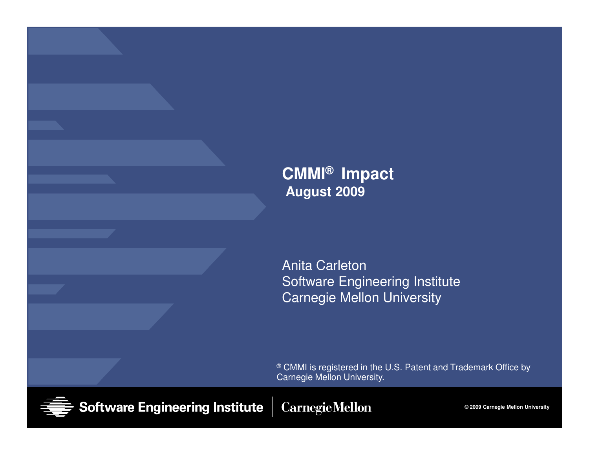#### **CMMI® ImpactAugust 2009**

Anita Carleton Software Engineering InstituteCarnegie Mellon University

 $^{\circledR}$  CMMI is registered in the U.S. Patent and Trademark Office by Carnegie Mellon University.



**Software Engineering Institute** 

**CarnegieMellon** 

**© 2009 Carnegie Mellon University**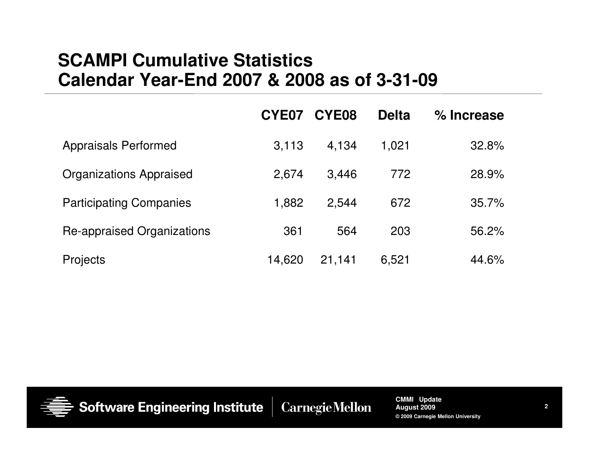### **SCAMPI Cumulative StatisticsCalendar Year-End 2007 & 2008 as of 3-31-09**

|                                | CYE07  | CYE08  | <b>Delta</b> | % Increase |  |
|--------------------------------|--------|--------|--------------|------------|--|
| <b>Appraisals Performed</b>    | 3.113  | 4.134  | 1,021        | 32.8%      |  |
| <b>Organizations Appraised</b> | 2,674  | 3.446  | 772          | 28.9%      |  |
| <b>Participating Companies</b> | 1,882  | 2,544  | 672          | 35.7%      |  |
| Re-appraised Organizations     | 361    | 564    | 203          | 56.2%      |  |
| <b>Projects</b>                | 14,620 | 21,141 | 6,521        | 44.6%      |  |



**Software Engineering Institute**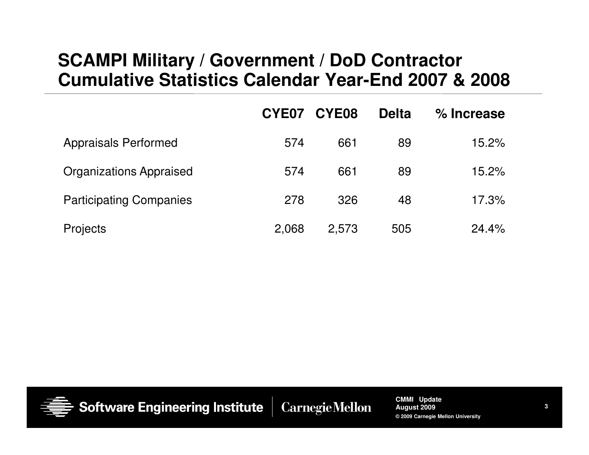### **SCAMPI Military / Government / DoD Contractor Cumulative Statistics Calendar Year-End 2007 & 2008**

|                                | CYE07 | CYE08 | <b>Delta</b> | % Increase |
|--------------------------------|-------|-------|--------------|------------|
| <b>Appraisals Performed</b>    | 574   | 661   | 89           | 15.2%      |
| <b>Organizations Appraised</b> | 574   | 661   | 89           | 15.2%      |
| <b>Participating Companies</b> | 278   | 326   | 48           | 17.3%      |
| Projects                       | 2,068 | 2,573 | 505          | 24.4%      |



**Software Engineering Institute** 

**Carnegie Mellon**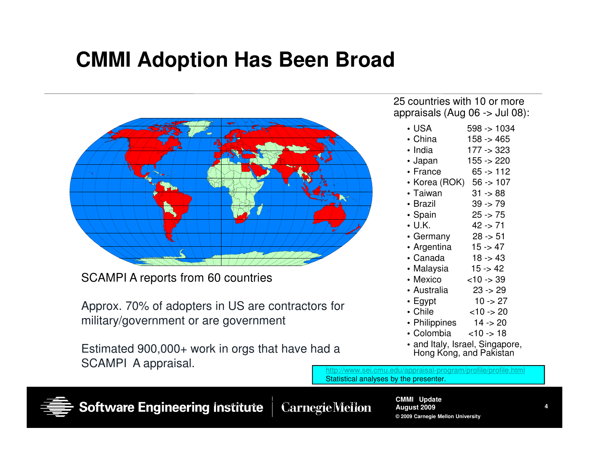## **CMMI Adoption Has Been Broad**



SCAMPI A reports from 60 countries

Approx. 70% of adopters in US are contractors for military/government or are government

Estimated 900,000+ work in orgs that have had a SCAMPI A appraisal.

25 countries with 10 or more appraisals (Aug 06 -> Jul 08):

| • USA   | $598 - 1034$ |
|---------|--------------|
| • China | $158 - 465$  |

- India 177 -> 323• India
- Japan 155 -> 220• Japan
- France 65 -> 112• France
- Korea (ROK) 56 -> 107
- $31 88$ • Taiwan 31 -> 88
- Brazil 39 -> 79• Brazil
- $25 75$ • Spain 25 -> 75
- U.K. 42 -> 71 $\cdot$  U.K.
- $28 51$ • Germany 28 -> 51
- $15 47$ • Argentina 15 -> 47
- Canada 18 -> 43
- $15 42$ • Malaysia 15 -> 42
- Mexico <10 -> 39• Mexico
- $23 29$ • Australia 23 -> 29
- $10 27$ • Egypt 10 -> 27
- Chile <10 -> 20• Chile
- $14 20$ • Philippines 14 -> 20
- $< 10 18$ • Colombia <10 -> 18
- and Italy, Israel, Singapore, Hong Kong, and Pakistan

 http://www.sei.cmu.edu/appraisal-program/profile/profile.htmlStatistical analyses by the presenter.



Software Engineering Institute | CarnegielVieilon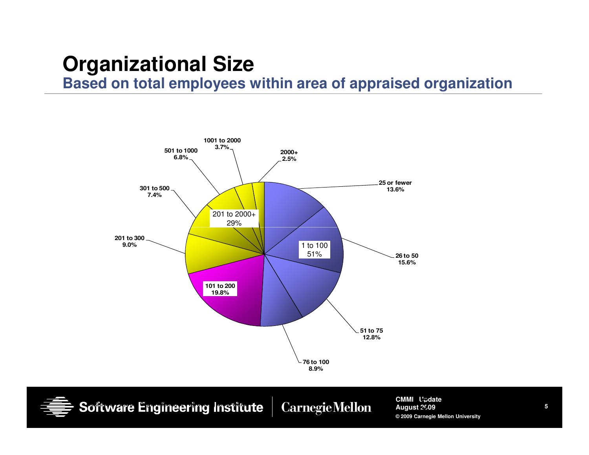## **Organizational Size**

**Based on total employees within area of appraised organization**



**CMMI UpdateAugust 2009 © 2009 Carnegie Mellon University** Software Engineering Institute Carnegie Mellon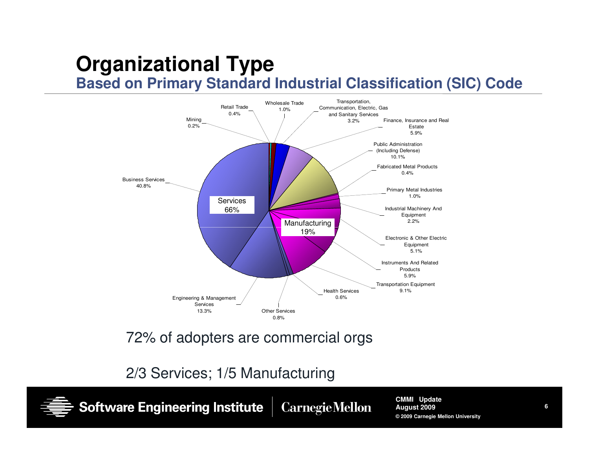## **Organizational Type Based on Primary Standard Industrial Classification (SIC) Code**



72% of adopters are commercial orgs

2/3 Services; 1/5 Manufacturing

**Software Engineering Institute** 

**Carnegie Mellon** 

**CMMI UpdateAugust 2009© 2009 Carnegie Mellon University**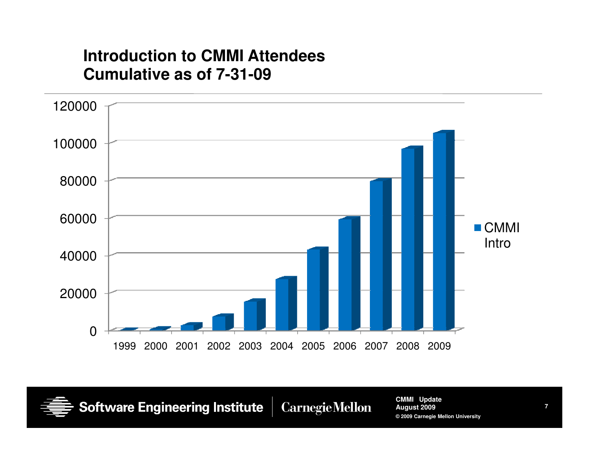#### **Introduction to CMMI Attendees Cumulative as of 7-31-09**



**Software Engineering Institute** 

**CarnegieMellon** 

**CMMI UpdateAugust 2009© 2009 Carnegie Mellon University**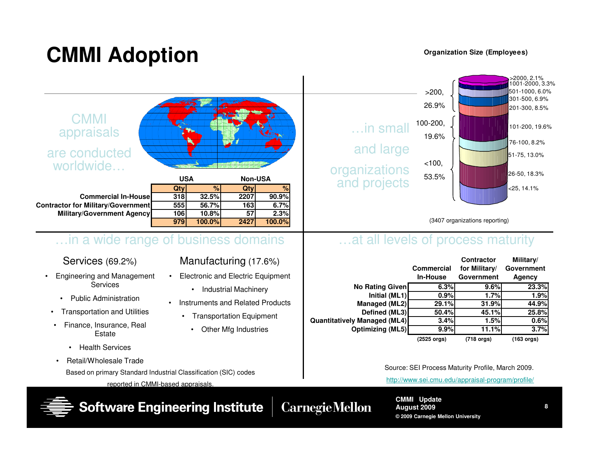# **CMMI Adoption**

#### **Organization Size (Employees)**



**© 2009 Carnegie Mellon University**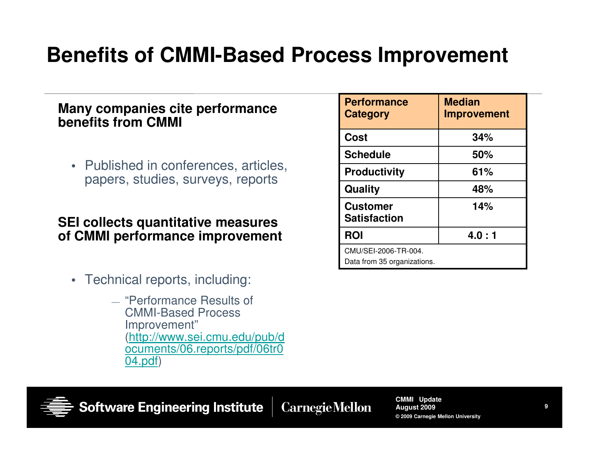## **Benefits of CMMI-Based Process Improvement**

#### **Many companies cite performance benefits from CMMI**

• Published in conferences, articles, papers, studies, surveys, reports

#### **SEI collects quantitative measures of CMMI performance improvement**

- Technical reports, including:
	- "Performance Results of<br>CMML Based Breesse CMMI-Based Process Improvement" (http://www.sei.cmu.edu/pub/d ocuments/06.reports/pdf/06tr004.pdf)

| <b>Performance</b><br>Category                      | <b>Median</b><br><b>Improvement</b> |
|-----------------------------------------------------|-------------------------------------|
| <b>Cost</b>                                         | 34%                                 |
| <b>Schedule</b>                                     | 50%                                 |
| <b>Productivity</b>                                 | 61%                                 |
| Quality                                             | 48%                                 |
| <b>Customer</b><br><b>Satisfaction</b>              | 14%                                 |
| <b>ROI</b>                                          | 4.0:1                               |
| CMU/SEI-2006-TR-004.<br>Data from 35 organizations. |                                     |



**Software Engineering Institute** 

**CarnegieMellon**